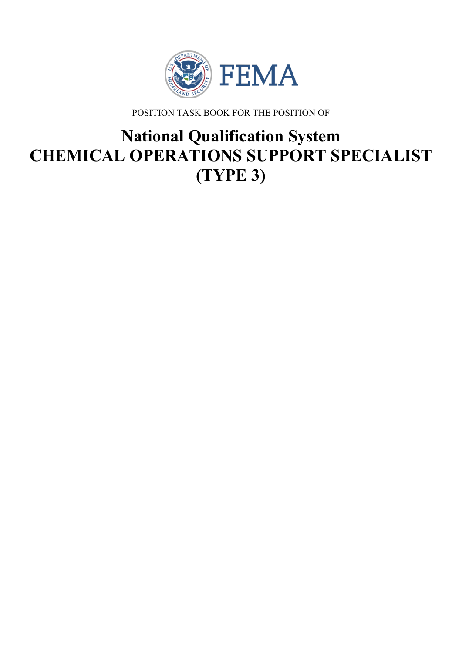

POSITION TASK BOOK FOR THE POSITION OF

# **National Qualification System CHEMICAL OPERATIONS SUPPORT SPECIALIST (TYPE 3)**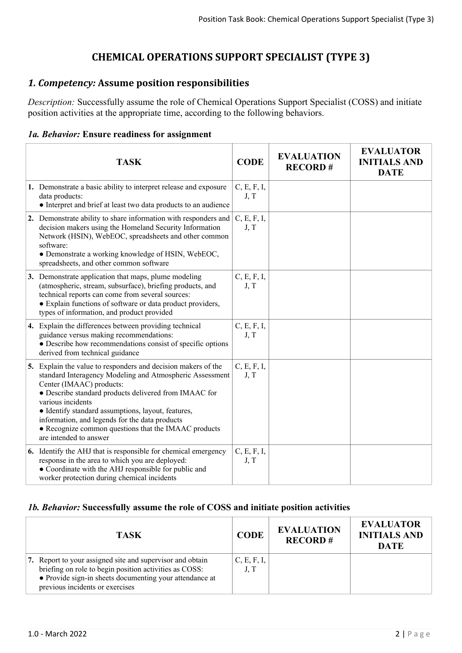# **CHEMICAL OPERATIONS SUPPORT SPECIALIST (TYPE 3)**

## *1. Competency:* **Assume position responsibilities**

*Description:* Successfully assume the role of Chemical Operations Support Specialist (COSS) and initiate position activities at the appropriate time, according to the following behaviors.

## *1a. Behavior:* **Ensure readiness for assignment**

| <b>TASK</b>                                                                                                                                                                                                                                                                                                                                                                                                                   | <b>CODE</b>         | <b>EVALUATION</b><br><b>RECORD#</b> | <b>EVALUATOR</b><br><b>INITIALS AND</b><br><b>DATE</b> |
|-------------------------------------------------------------------------------------------------------------------------------------------------------------------------------------------------------------------------------------------------------------------------------------------------------------------------------------------------------------------------------------------------------------------------------|---------------------|-------------------------------------|--------------------------------------------------------|
| 1. Demonstrate a basic ability to interpret release and exposure<br>data products:<br>• Interpret and brief at least two data products to an audience                                                                                                                                                                                                                                                                         | C, E, F, I,<br>J, T |                                     |                                                        |
| 2. Demonstrate ability to share information with responders and<br>decision makers using the Homeland Security Information<br>Network (HSIN), WebEOC, spreadsheets and other common<br>software:<br>• Demonstrate a working knowledge of HSIN, WebEOC,<br>spreadsheets, and other common software                                                                                                                             | C, E, F, I,<br>J, T |                                     |                                                        |
| 3. Demonstrate application that maps, plume modeling<br>(atmospheric, stream, subsurface), briefing products, and<br>technical reports can come from several sources:<br>• Explain functions of software or data product providers,<br>types of information, and product provided                                                                                                                                             | C, E, F, I,<br>J, T |                                     |                                                        |
| 4. Explain the differences between providing technical<br>guidance versus making recommendations:<br>• Describe how recommendations consist of specific options<br>derived from technical guidance                                                                                                                                                                                                                            | C, E, F, I,<br>J, T |                                     |                                                        |
| 5. Explain the value to responders and decision makers of the<br>standard Interagency Modeling and Atmospheric Assessment<br>Center (IMAAC) products:<br>• Describe standard products delivered from IMAAC for<br>various incidents<br>• Identify standard assumptions, layout, features,<br>information, and legends for the data products<br>• Recognize common questions that the IMAAC products<br>are intended to answer | C, E, F, I,<br>J, T |                                     |                                                        |
| 6. Identify the AHJ that is responsible for chemical emergency<br>response in the area to which you are deployed:<br>• Coordinate with the AHJ responsible for public and<br>worker protection during chemical incidents                                                                                                                                                                                                      | C, E, F, I,<br>J, T |                                     |                                                        |

#### *1b. Behavior:* **Successfully assume the role of COSS and initiate position activities**

| <b>TASK</b>                                                                                                                                                                                                       | <b>CODE</b>         | <b>EVALUATION</b><br><b>RECORD#</b> | <b>EVALUATOR</b><br><b>INITIALS AND</b><br><b>DATE</b> |
|-------------------------------------------------------------------------------------------------------------------------------------------------------------------------------------------------------------------|---------------------|-------------------------------------|--------------------------------------------------------|
| 7. Report to your assigned site and supervisor and obtain<br>briefing on role to begin position activities as COSS:<br>• Provide sign-in sheets documenting your attendance at<br>previous incidents or exercises | C, E, F, I,<br>J, T |                                     |                                                        |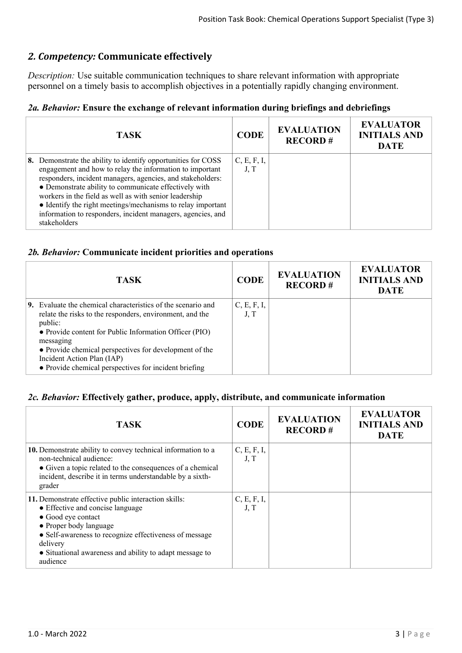# *2. Competency:* **Communicate effectively**

*Description:* Use suitable communication techniques to share relevant information with appropriate personnel on a timely basis to accomplish objectives in a potentially rapidly changing environment.

## *2a. Behavior:* **Ensure the exchange of relevant information during briefings and debriefings**

| TASK.                                                                                                                                                                                                                                                                                                                                                                                                                                                    | <b>CODE</b>         | <b>EVALUATION</b><br><b>RECORD#</b> | <b>EVALUATOR</b><br><b>INITIALS AND</b><br><b>DATE</b> |
|----------------------------------------------------------------------------------------------------------------------------------------------------------------------------------------------------------------------------------------------------------------------------------------------------------------------------------------------------------------------------------------------------------------------------------------------------------|---------------------|-------------------------------------|--------------------------------------------------------|
| 8. Demonstrate the ability to identify opportunities for COSS<br>engagement and how to relay the information to important<br>responders, incident managers, agencies, and stakeholders:<br>• Demonstrate ability to communicate effectively with<br>workers in the field as well as with senior leadership<br>• Identify the right meetings/mechanisms to relay important<br>information to responders, incident managers, agencies, and<br>stakeholders | C, E, F, I,<br>J, T |                                     |                                                        |

#### *2b. Behavior:* **Communicate incident priorities and operations**

| <b>TASK</b>                                                                                                                                                                                                                                                                                                                                                        | <b>CODE</b>         | <b>EVALUATION</b><br><b>RECORD#</b> | <b>EVALUATOR</b><br><b>INITIALS AND</b><br><b>DATE</b> |
|--------------------------------------------------------------------------------------------------------------------------------------------------------------------------------------------------------------------------------------------------------------------------------------------------------------------------------------------------------------------|---------------------|-------------------------------------|--------------------------------------------------------|
| <b>9.</b> Evaluate the chemical characteristics of the scenario and<br>relate the risks to the responders, environment, and the<br>public:<br>• Provide content for Public Information Officer (PIO)<br>messaging<br>• Provide chemical perspectives for development of the<br>Incident Action Plan (IAP)<br>• Provide chemical perspectives for incident briefing | C, E, F, I,<br>J, T |                                     |                                                        |

#### *2c. Behavior:* **Effectively gather, produce, apply, distribute, and communicate information**

| <b>TASK</b>                                                                                                                                                                                                                                                                           | <b>CODE</b>         | <b>EVALUATION</b><br><b>RECORD#</b> | <b>EVALUATOR</b><br><b>INITIALS AND</b><br><b>DATE</b> |
|---------------------------------------------------------------------------------------------------------------------------------------------------------------------------------------------------------------------------------------------------------------------------------------|---------------------|-------------------------------------|--------------------------------------------------------|
| 10. Demonstrate ability to convey technical information to a<br>non-technical audience:<br>• Given a topic related to the consequences of a chemical<br>incident, describe it in terms understandable by a sixth-<br>grader                                                           | C, E, F, I,<br>J, T |                                     |                                                        |
| 11. Demonstrate effective public interaction skills:<br>• Effective and concise language<br>• Good eye contact<br>• Proper body language<br>• Self-awareness to recognize effectiveness of message<br>delivery<br>• Situational awareness and ability to adapt message to<br>audience | C, E, F, I,<br>J, T |                                     |                                                        |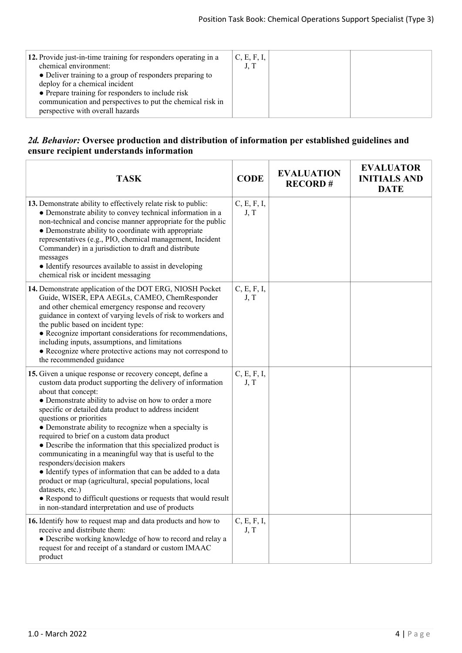| 12. Provide just-in-time training for responders operating in a<br>chemical environment:<br>• Deliver training to a group of responders preparing to<br>deploy for a chemical incident<br>• Prepare training for responders to include risk<br>communication and perspectives to put the chemical risk in | C, E, F, I,<br>J, T |  |
|-----------------------------------------------------------------------------------------------------------------------------------------------------------------------------------------------------------------------------------------------------------------------------------------------------------|---------------------|--|
| perspective with overall hazards                                                                                                                                                                                                                                                                          |                     |  |

#### *2d. Behavior:* **Oversee production and distribution of information per established guidelines and ensure recipient understands information**

| <b>TASK</b>                                                                                                                                                                                                                                                                                                                                                                                                                                                                                                                                                                                                                                                                                                                                                                                                                        | <b>CODE</b>         | <b>EVALUATION</b><br><b>RECORD#</b> | <b>EVALUATOR</b><br><b>INITIALS AND</b><br><b>DATE</b> |
|------------------------------------------------------------------------------------------------------------------------------------------------------------------------------------------------------------------------------------------------------------------------------------------------------------------------------------------------------------------------------------------------------------------------------------------------------------------------------------------------------------------------------------------------------------------------------------------------------------------------------------------------------------------------------------------------------------------------------------------------------------------------------------------------------------------------------------|---------------------|-------------------------------------|--------------------------------------------------------|
| 13. Demonstrate ability to effectively relate risk to public:<br>• Demonstrate ability to convey technical information in a<br>non-technical and concise manner appropriate for the public<br>• Demonstrate ability to coordinate with appropriate<br>representatives (e.g., PIO, chemical management, Incident<br>Commander) in a jurisdiction to draft and distribute<br>messages<br>• Identify resources available to assist in developing<br>chemical risk or incident messaging                                                                                                                                                                                                                                                                                                                                               | C, E, F, I,<br>J, T |                                     |                                                        |
| 14. Demonstrate application of the DOT ERG, NIOSH Pocket<br>Guide, WISER, EPA AEGLs, CAMEO, ChemResponder<br>and other chemical emergency response and recovery<br>guidance in context of varying levels of risk to workers and<br>the public based on incident type:<br>• Recognize important considerations for recommendations,<br>including inputs, assumptions, and limitations<br>• Recognize where protective actions may not correspond to<br>the recommended guidance                                                                                                                                                                                                                                                                                                                                                     | C, E, F, I,<br>J, T |                                     |                                                        |
| 15. Given a unique response or recovery concept, define a<br>custom data product supporting the delivery of information<br>about that concept:<br>• Demonstrate ability to advise on how to order a more<br>specific or detailed data product to address incident<br>questions or priorities<br>• Demonstrate ability to recognize when a specialty is<br>required to brief on a custom data product<br>• Describe the information that this specialized product is<br>communicating in a meaningful way that is useful to the<br>responders/decision makers<br>• Identify types of information that can be added to a data<br>product or map (agricultural, special populations, local<br>datasets, etc.)<br>• Respond to difficult questions or requests that would result<br>in non-standard interpretation and use of products | C, E, F, I,<br>J, T |                                     |                                                        |
| 16. Identify how to request map and data products and how to<br>receive and distribute them:<br>• Describe working knowledge of how to record and relay a<br>request for and receipt of a standard or custom IMAAC<br>product                                                                                                                                                                                                                                                                                                                                                                                                                                                                                                                                                                                                      | C, E, F, I,<br>J, T |                                     |                                                        |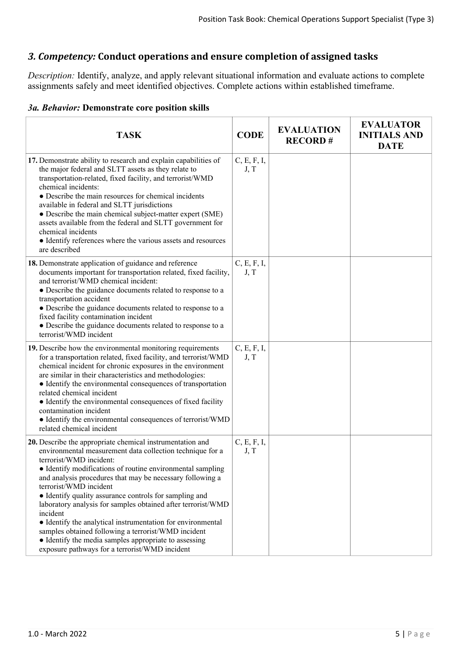# *3. Competency:* **Conduct operations and ensure completion of assigned tasks**

*Description:* Identify, analyze, and apply relevant situational information and evaluate actions to complete assignments safely and meet identified objectives. Complete actions within established timeframe.

## *3a. Behavior:* **Demonstrate core position skills**

| <b>TASK</b>                                                                                                                                                                                                                                                                                                                                                                                                                                                                                                                                                                                                                                                                   | <b>CODE</b>         | <b>EVALUATION</b><br><b>RECORD#</b> | <b>EVALUATOR</b><br><b>INITIALS AND</b><br><b>DATE</b> |
|-------------------------------------------------------------------------------------------------------------------------------------------------------------------------------------------------------------------------------------------------------------------------------------------------------------------------------------------------------------------------------------------------------------------------------------------------------------------------------------------------------------------------------------------------------------------------------------------------------------------------------------------------------------------------------|---------------------|-------------------------------------|--------------------------------------------------------|
| 17. Demonstrate ability to research and explain capabilities of<br>the major federal and SLTT assets as they relate to<br>transportation-related, fixed facility, and terrorist/WMD<br>chemical incidents:<br>• Describe the main resources for chemical incidents<br>available in federal and SLTT jurisdictions<br>• Describe the main chemical subject-matter expert (SME)<br>assets available from the federal and SLTT government for<br>chemical incidents<br>• Identify references where the various assets and resources<br>are described                                                                                                                             | C, E, F, I,<br>J, T |                                     |                                                        |
| 18. Demonstrate application of guidance and reference<br>documents important for transportation related, fixed facility,<br>and terrorist/WMD chemical incident:<br>• Describe the guidance documents related to response to a<br>transportation accident<br>• Describe the guidance documents related to response to a<br>fixed facility contamination incident<br>• Describe the guidance documents related to response to a<br>terrorist/WMD incident                                                                                                                                                                                                                      | C, E, F, I,<br>J, T |                                     |                                                        |
| 19. Describe how the environmental monitoring requirements<br>for a transportation related, fixed facility, and terrorist/WMD<br>chemical incident for chronic exposures in the environment<br>are similar in their characteristics and methodologies:<br>• Identify the environmental consequences of transportation<br>related chemical incident<br>• Identify the environmental consequences of fixed facility<br>contamination incident<br>• Identify the environmental consequences of terrorist/WMD<br>related chemical incident                                                                                                                                        | C, E, F, I,<br>J, T |                                     |                                                        |
| 20. Describe the appropriate chemical instrumentation and<br>environmental measurement data collection technique for a<br>terrorist/WMD incident:<br>• Identify modifications of routine environmental sampling<br>and analysis procedures that may be necessary following a<br>terrorist/WMD incident<br>• Identify quality assurance controls for sampling and<br>laboratory analysis for samples obtained after terrorist/WMD<br>incident<br>• Identify the analytical instrumentation for environmental<br>samples obtained following a terrorist/WMD incident<br>• Identify the media samples appropriate to assessing<br>exposure pathways for a terrorist/WMD incident | C, E, F, I,<br>J, T |                                     |                                                        |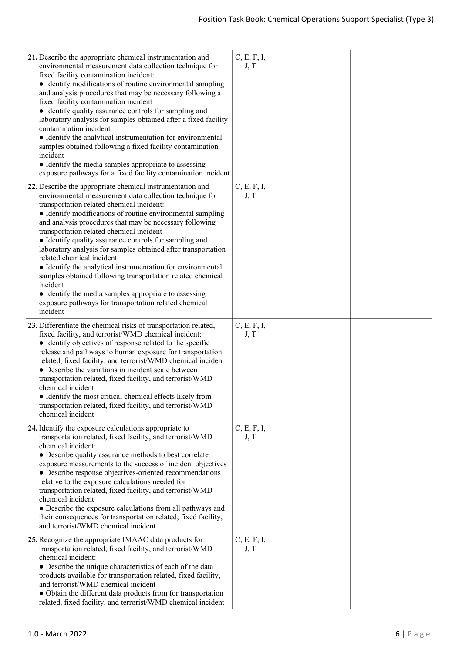| 21. Describe the appropriate chemical instrumentation and<br>environmental measurement data collection technique for<br>fixed facility contamination incident:<br>• Identify modifications of routine environmental sampling<br>and analysis procedures that may be necessary following a<br>fixed facility contamination incident<br>• Identify quality assurance controls for sampling and<br>laboratory analysis for samples obtained after a fixed facility<br>contamination incident<br>• Identify the analytical instrumentation for environmental<br>samples obtained following a fixed facility contamination<br>incident<br>• Identify the media samples appropriate to assessing<br>exposure pathways for a fixed facility contamination incident           | C, E, F, I,<br>J, T |  |
|-----------------------------------------------------------------------------------------------------------------------------------------------------------------------------------------------------------------------------------------------------------------------------------------------------------------------------------------------------------------------------------------------------------------------------------------------------------------------------------------------------------------------------------------------------------------------------------------------------------------------------------------------------------------------------------------------------------------------------------------------------------------------|---------------------|--|
| 22. Describe the appropriate chemical instrumentation and<br>environmental measurement data collection technique for<br>transportation related chemical incident:<br>• Identify modifications of routine environmental sampling<br>and analysis procedures that may be necessary following<br>transportation related chemical incident<br>• Identify quality assurance controls for sampling and<br>laboratory analysis for samples obtained after transportation<br>related chemical incident<br>• Identify the analytical instrumentation for environmental<br>samples obtained following transportation related chemical<br>incident<br>• Identify the media samples appropriate to assessing<br>exposure pathways for transportation related chemical<br>incident | C, E, F, I,<br>J, T |  |
| 23. Differentiate the chemical risks of transportation related,<br>fixed facility, and terrorist/WMD chemical incident:<br>• Identify objectives of response related to the specific<br>release and pathways to human exposure for transportation<br>related, fixed facility, and terrorist/WMD chemical incident<br>• Describe the variations in incident scale between<br>transportation related, fixed facility, and terrorist/WMD<br>chemical incident<br>• Identify the most critical chemical effects likely from<br>transportation related, fixed facility, and terrorist/WMD<br>chemical incident                                                                                                                                                             | C, E, F, I,<br>J, T |  |
| 24. Identify the exposure calculations appropriate to<br>transportation related, fixed facility, and terrorist/WMD<br>chemical incident:<br>• Describe quality assurance methods to best correlate<br>exposure measurements to the success of incident objectives<br>• Describe response objectives-oriented recommendations<br>relative to the exposure calculations needed for<br>transportation related, fixed facility, and terrorist/WMD<br>chemical incident<br>• Describe the exposure calculations from all pathways and<br>their consequences for transportation related, fixed facility,<br>and terrorist/WMD chemical incident                                                                                                                             | C, E, F, I,<br>J, T |  |
| 25. Recognize the appropriate IMAAC data products for<br>transportation related, fixed facility, and terrorist/WMD<br>chemical incident:<br>• Describe the unique characteristics of each of the data<br>products available for transportation related, fixed facility,<br>and terrorist/WMD chemical incident<br>• Obtain the different data products from for transportation<br>related, fixed facility, and terrorist/WMD chemical incident                                                                                                                                                                                                                                                                                                                        | C, E, F, I,<br>J, T |  |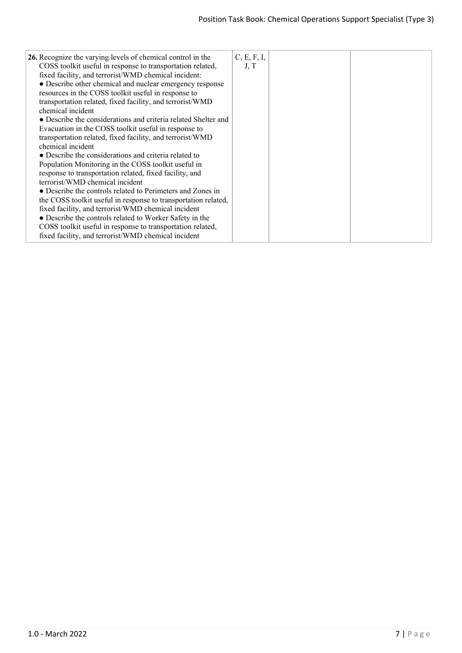| 26. Recognize the varying levels of chemical control in the<br>COSS toolkit useful in response to transportation related,<br>fixed facility, and terrorist/WMD chemical incident:<br>• Describe other chemical and nuclear emergency response<br>resources in the COSS toolkit useful in response to<br>transportation related, fixed facility, and terrorist/WMD<br>chemical incident<br>• Describe the considerations and criteria related Shelter and<br>Evacuation in the COSS toolkit useful in response to<br>transportation related, fixed facility, and terrorist/WMD<br>chemical incident<br>• Describe the considerations and criteria related to<br>Population Monitoring in the COSS toolkit useful in<br>response to transportation related, fixed facility, and<br>terrorist/WMD chemical incident<br>• Describe the controls related to Perimeters and Zones in<br>the COSS toolkit useful in response to transportation related,<br>fixed facility, and terrorist/WMD chemical incident<br>• Describe the controls related to Worker Safety in the<br>COSS toolkit useful in response to transportation related,<br>fixed facility, and terrorist/WMD chemical incident | C, E, F, I,<br>J, T |  |
|-----------------------------------------------------------------------------------------------------------------------------------------------------------------------------------------------------------------------------------------------------------------------------------------------------------------------------------------------------------------------------------------------------------------------------------------------------------------------------------------------------------------------------------------------------------------------------------------------------------------------------------------------------------------------------------------------------------------------------------------------------------------------------------------------------------------------------------------------------------------------------------------------------------------------------------------------------------------------------------------------------------------------------------------------------------------------------------------------------------------------------------------------------------------------------------------|---------------------|--|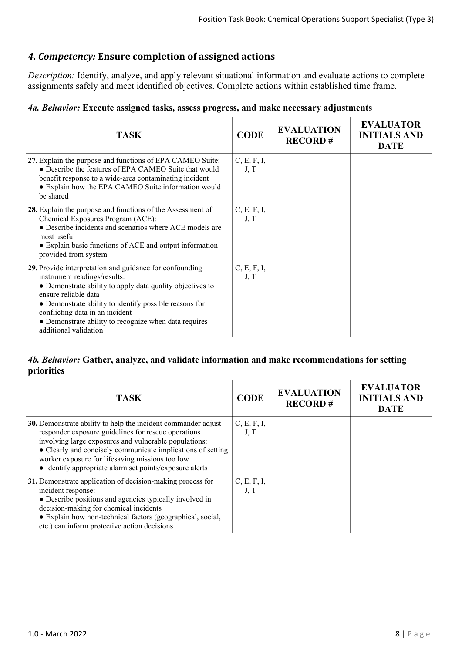# *4. Competency:* **Ensure completion of assigned actions**

*Description:* Identify, analyze, and apply relevant situational information and evaluate actions to complete assignments safely and meet identified objectives. Complete actions within established time frame.

## *4a. Behavior:* **Execute assigned tasks, assess progress, and make necessary adjustments**

| TASK                                                                                                                                                                                                                                                                                                                                                        | <b>CODE</b>         | <b>EVALUATION</b><br><b>RECORD#</b> | <b>EVALUATOR</b><br><b>INITIALS AND</b><br><b>DATE</b> |
|-------------------------------------------------------------------------------------------------------------------------------------------------------------------------------------------------------------------------------------------------------------------------------------------------------------------------------------------------------------|---------------------|-------------------------------------|--------------------------------------------------------|
| 27. Explain the purpose and functions of EPA CAMEO Suite:<br>• Describe the features of EPA CAMEO Suite that would<br>benefit response to a wide-area contaminating incident<br>• Explain how the EPA CAMEO Suite information would<br>be shared                                                                                                            | C, E, F, I,<br>J, T |                                     |                                                        |
| 28. Explain the purpose and functions of the Assessment of<br>Chemical Exposures Program (ACE):<br>• Describe incidents and scenarios where ACE models are<br>most useful<br>• Explain basic functions of ACE and output information<br>provided from system                                                                                                | C, E, F, I,<br>J, T |                                     |                                                        |
| 29. Provide interpretation and guidance for confounding<br>instrument readings/results:<br>• Demonstrate ability to apply data quality objectives to<br>ensure reliable data<br>• Demonstrate ability to identify possible reasons for<br>conflicting data in an incident<br>• Demonstrate ability to recognize when data requires<br>additional validation | C, E, F, I,<br>J, T |                                     |                                                        |

## *4b. Behavior:* **Gather, analyze, and validate information and make recommendations for setting priorities**

| <b>TASK</b>                                                                                                                                                                                                                                                                                                                                                | <b>CODE</b>         | <b>EVALUATION</b><br><b>RECORD#</b> | <b>EVALUATOR</b><br><b>INITIALS AND</b><br><b>DATE</b> |
|------------------------------------------------------------------------------------------------------------------------------------------------------------------------------------------------------------------------------------------------------------------------------------------------------------------------------------------------------------|---------------------|-------------------------------------|--------------------------------------------------------|
| 30. Demonstrate ability to help the incident commander adjust<br>responder exposure guidelines for rescue operations<br>involving large exposures and vulnerable populations:<br>• Clearly and concisely communicate implications of setting<br>worker exposure for lifesaving missions too low<br>• Identify appropriate alarm set points/exposure alerts | C, E, F, I,<br>J, T |                                     |                                                        |
| 31. Demonstrate application of decision-making process for<br>incident response:<br>• Describe positions and agencies typically involved in<br>decision-making for chemical incidents<br>• Explain how non-technical factors (geographical, social,<br>etc.) can inform protective action decisions                                                        | C, E, F, I,<br>J, T |                                     |                                                        |